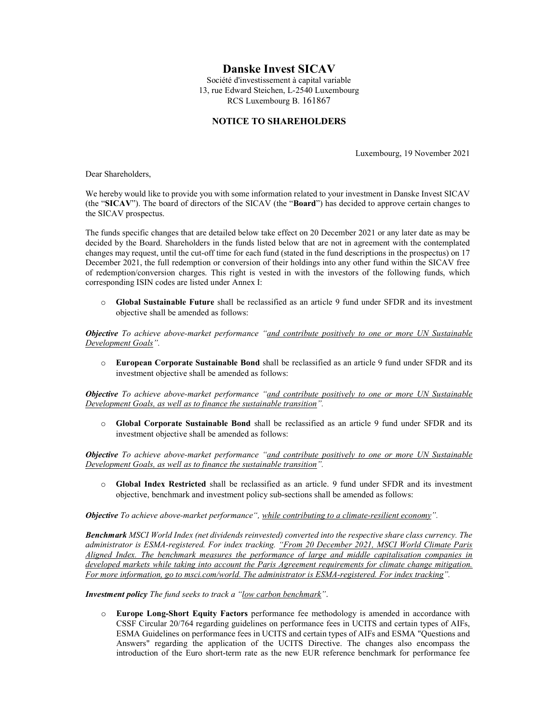# Danske Invest SICAV

Société d'investissement à capital variable 13, rue Edward Steichen, L-2540 Luxembourg RCS Luxembourg B. 161867

### NOTICE TO SHAREHOLDERS

Luxembourg, 19 November 2021

Dear Shareholders,

We hereby would like to provide you with some information related to your investment in Danske Invest SICAV (the "SICAV"). The board of directors of the SICAV (the "Board") has decided to approve certain changes to the SICAV prospectus.

The funds specific changes that are detailed below take effect on 20 December 2021 or any later date as may be decided by the Board. Shareholders in the funds listed below that are not in agreement with the contemplated changes may request, until the cut-off time for each fund (stated in the fund descriptions in the prospectus) on 17 December 2021, the full redemption or conversion of their holdings into any other fund within the SICAV free of redemption/conversion charges. This right is vested in with the investors of the following funds, which corresponding ISIN codes are listed under Annex I:

o Global Sustainable Future shall be reclassified as an article 9 fund under SFDR and its investment objective shall be amended as follows:

Objective To achieve above-market performance "and contribute positively to one or more UN Sustainable Development Goals".

o European Corporate Sustainable Bond shall be reclassified as an article 9 fund under SFDR and its investment objective shall be amended as follows:

**Objective** To achieve above-market performance "and contribute positively to one or more UN Sustainable Development Goals, as well as to finance the sustainable transition".

o Global Corporate Sustainable Bond shall be reclassified as an article 9 fund under SFDR and its investment objective shall be amended as follows:

**Objective** To achieve above-market performance "and contribute positively to one or more UN Sustainable Development Goals, as well as to finance the sustainable transition".

o Global Index Restricted shall be reclassified as an article. 9 fund under SFDR and its investment objective, benchmark and investment policy sub-sections shall be amended as follows:

Objective To achieve above-market performance", while contributing to a climate-resilient economy".

Benchmark MSCI World Index (net dividends reinvested) converted into the respective share class currency. The administrator is ESMA-registered. For index tracking. "From 20 December 2021, MSCI World Climate Paris Aligned Index. The benchmark measures the performance of large and middle capitalisation companies in developed markets while taking into account the Paris Agreement requirements for climate change mitigation. For more information, go to msci.com/world. The administrator is ESMA-registered. For index tracking".

Investment policy The fund seeks to track a "low carbon benchmark".

o Europe Long-Short Equity Factors performance fee methodology is amended in accordance with CSSF Circular 20/764 regarding guidelines on performance fees in UCITS and certain types of AIFs, ESMA Guidelines on performance fees in UCITS and certain types of AIFs and ESMA "Questions and Answers" regarding the application of the UCITS Directive. The changes also encompass the introduction of the Euro short-term rate as the new EUR reference benchmark for performance fee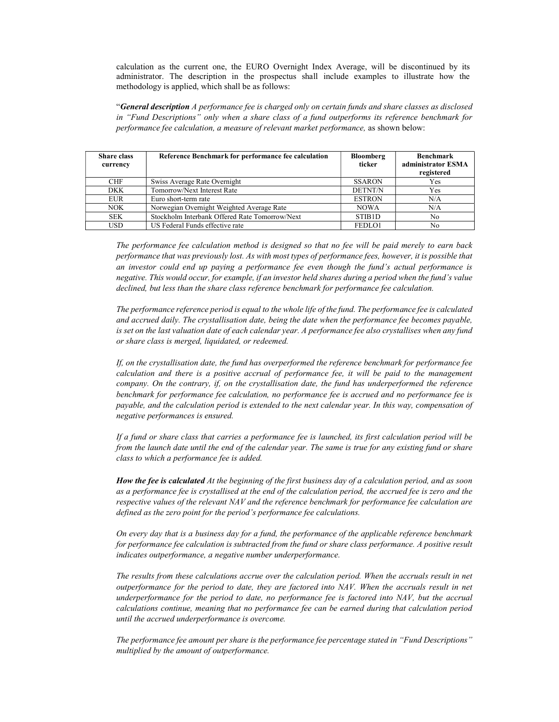calculation as the current one, the EURO Overnight Index Average, will be discontinued by its administrator. The description in the prospectus shall include examples to illustrate how the methodology is applied, which shall be as follows:

"General description A performance fee is charged only on certain funds and share classes as disclosed in "Fund Descriptions" only when a share class of a fund outperforms its reference benchmark for performance fee calculation, a measure of relevant market performance, as shown below:

| <b>Share class</b><br>currency | Reference Benchmark for performance fee calculation | <b>Bloomberg</b><br>ticker | <b>Benchmark</b><br>administrator ESMA<br>registered |
|--------------------------------|-----------------------------------------------------|----------------------------|------------------------------------------------------|
| <b>CHF</b>                     | Swiss Average Rate Overnight                        | <b>SSARON</b>              | Yes                                                  |
| <b>DKK</b>                     | Tomorrow/Next Interest Rate                         | <b>DETNT/N</b>             | Yes                                                  |
| EUR                            | Euro short-term rate                                | <b>ESTRON</b>              | N/A                                                  |
| NOK.                           | Norwegian Overnight Weighted Average Rate           | <b>NOWA</b>                | N/A                                                  |
| <b>SEK</b>                     | Stockholm Interbank Offered Rate Tomorrow/Next      | STIB <sub>1</sub> D        | No.                                                  |
| <b>USD</b>                     | US Federal Funds effective rate                     | FEDLO1                     | No                                                   |

The performance fee calculation method is designed so that no fee will be paid merely to earn back performance that was previously lost. As with most types of performance fees, however, it is possible that an investor could end up paying a performance fee even though the fund's actual performance is negative. This would occur, for example, if an investor held shares during a period when the fund's value declined, but less than the share class reference benchmark for performance fee calculation.

The performance reference period is equal to the whole life of the fund. The performance fee is calculated and accrued daily. The crystallisation date, being the date when the performance fee becomes payable, is set on the last valuation date of each calendar year. A performance fee also crystallises when any fund or share class is merged, liquidated, or redeemed.

If, on the crystallisation date, the fund has overperformed the reference benchmark for performance fee calculation and there is a positive accrual of performance fee, it will be paid to the management company. On the contrary, if, on the crystallisation date, the fund has underperformed the reference benchmark for performance fee calculation, no performance fee is accrued and no performance fee is payable, and the calculation period is extended to the next calendar year. In this way, compensation of negative performances is ensured.

If a fund or share class that carries a performance fee is launched, its first calculation period will be from the launch date until the end of the calendar year. The same is true for any existing fund or share class to which a performance fee is added.

How the fee is calculated At the beginning of the first business day of a calculation period, and as soon as a performance fee is crystallised at the end of the calculation period, the accrued fee is zero and the respective values of the relevant NAV and the reference benchmark for performance fee calculation are defined as the zero point for the period's performance fee calculations.

On every day that is a business day for a fund, the performance of the applicable reference benchmark for performance fee calculation is subtracted from the fund or share class performance. A positive result indicates outperformance, a negative number underperformance.

The results from these calculations accrue over the calculation period. When the accruals result in net outperformance for the period to date, they are factored into NAV. When the accruals result in net underperformance for the period to date, no performance fee is factored into NAV, but the accrual calculations continue, meaning that no performance fee can be earned during that calculation period until the accrued underperformance is overcome.

The performance fee amount per share is the performance fee percentage stated in "Fund Descriptions" multiplied by the amount of outperformance.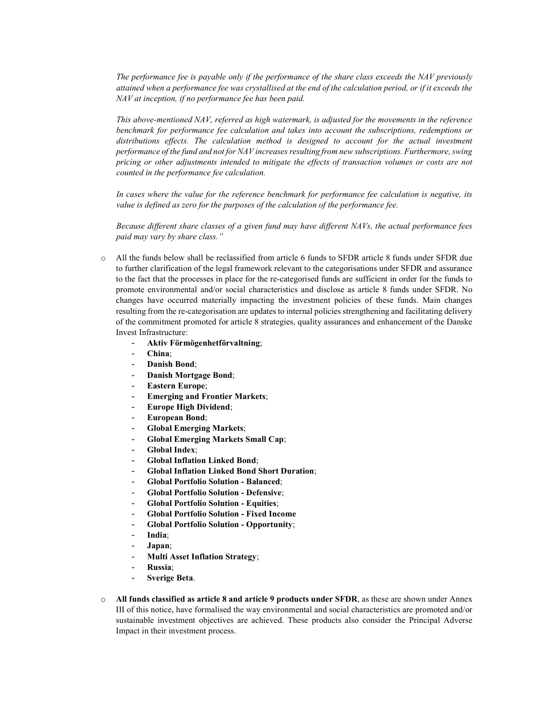The performance fee is payable only if the performance of the share class exceeds the NAV previously attained when a performance fee was crystallised at the end of the calculation period, or if it exceeds the NAV at inception, if no performance fee has been paid.

This above-mentioned NAV, referred as high watermark, is adjusted for the movements in the reference benchmark for performance fee calculation and takes into account the subscriptions, redemptions or distributions effects. The calculation method is designed to account for the actual investment performance of the fund and not for NAV increases resulting from new subscriptions. Furthermore, swing pricing or other adjustments intended to mitigate the effects of transaction volumes or costs are not counted in the performance fee calculation.

In cases where the value for the reference benchmark for performance fee calculation is negative, its value is defined as zero for the purposes of the calculation of the performance fee.

Because different share classes of a given fund may have different NAVs, the actual performance fees paid may vary by share class."

- o All the funds below shall be reclassified from article 6 funds to SFDR article 8 funds under SFDR due to further clarification of the legal framework relevant to the categorisations under SFDR and assurance to the fact that the processes in place for the re-categorised funds are sufficient in order for the funds to promote environmental and/or social characteristics and disclose as article 8 funds under SFDR. No changes have occurred materially impacting the investment policies of these funds. Main changes resulting from the re-categorisation are updates to internal policies strengthening and facilitating delivery of the commitment promoted for article 8 strategies, quality assurances and enhancement of the Danske Invest Infrastructure:
	- Aktiv Förmögenhetförvaltning;
	- China;
	- Danish Bond:
	- Danish Mortgage Bond;
	- Eastern Europe;
	- **Emerging and Frontier Markets;**
	- Europe High Dividend;
	- European Bond;
	- Global Emerging Markets;
	- Global Emerging Markets Small Cap;
	- Global Index:
	- Global Inflation Linked Bond;
	- Global Inflation Linked Bond Short Duration;
	- Global Portfolio Solution Balanced;
	- Global Portfolio Solution Defensive;
	- Global Portfolio Solution Equities;
	- Global Portfolio Solution Fixed Income
	- Global Portfolio Solution Opportunity;
	- India;
	- Japan;
	- Multi Asset Inflation Strategy;
	- Russia;
	- Sverige Beta.
- All funds classified as article 8 and article 9 products under SFDR, as these are shown under Annex III of this notice, have formalised the way environmental and social characteristics are promoted and/or sustainable investment objectives are achieved. These products also consider the Principal Adverse Impact in their investment process.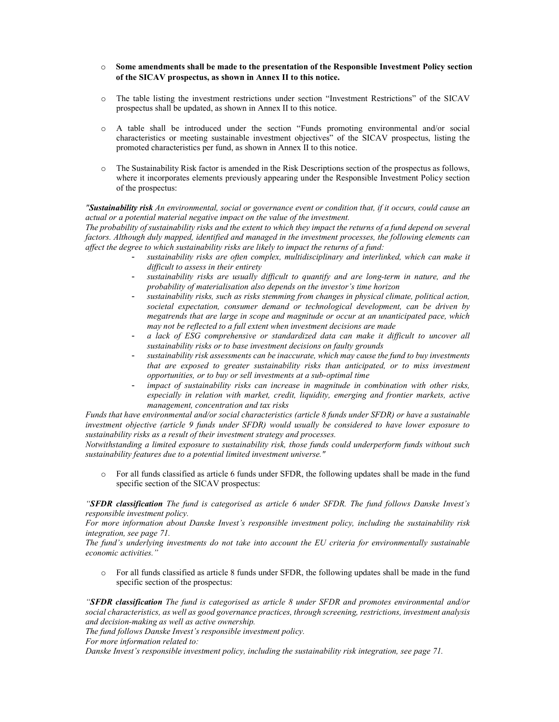- $\circ$  Some amendments shall be made to the presentation of the Responsible Investment Policy section of the SICAV prospectus, as shown in Annex II to this notice.
- o The table listing the investment restrictions under section "Investment Restrictions" of the SICAV prospectus shall be updated, as shown in Annex II to this notice.
- o A table shall be introduced under the section "Funds promoting environmental and/or social characteristics or meeting sustainable investment objectives" of the SICAV prospectus, listing the promoted characteristics per fund, as shown in Annex II to this notice.
- o The Sustainability Risk factor is amended in the Risk Descriptions section of the prospectus as follows, where it incorporates elements previously appearing under the Responsible Investment Policy section of the prospectus:

"Sustainability risk An environmental, social or governance event or condition that, if it occurs, could cause an actual or a potential material negative impact on the value of the investment.

The probability of sustainability risks and the extent to which they impact the returns of a fund depend on several factors. Although duly mapped, identified and managed in the investment processes, the following elements can affect the degree to which sustainability risks are likely to impact the returns of a fund:

- sustainability risks are often complex, multidisciplinary and interlinked, which can make it difficult to assess in their entirety
- sustainability risks are usually difficult to quantify and are long-term in nature, and the probability of materialisation also depends on the investor's time horizon
- sustainability risks, such as risks stemming from changes in physical climate, political action, societal expectation, consumer demand or technological development, can be driven by megatrends that are large in scope and magnitude or occur at an unanticipated pace, which may not be reflected to a full extent when investment decisions are made
- a lack of ESG comprehensive or standardized data can make it difficult to uncover all sustainability risks or to base investment decisions on faulty grounds
- sustainability risk assessments can be inaccurate, which may cause the fund to buy investments that are exposed to greater sustainability risks than anticipated, or to miss investment opportunities, or to buy or sell investments at a sub-optimal time
- impact of sustainability risks can increase in magnitude in combination with other risks, especially in relation with market, credit, liquidity, emerging and frontier markets, active management, concentration and tax risks

Funds that have environmental and/or social characteristics (article 8 funds under SFDR) or have a sustainable investment objective (article 9 funds under SFDR) would usually be considered to have lower exposure to sustainability risks as a result of their investment strategy and processes.

Notwithstanding a limited exposure to sustainability risk, those funds could underperform funds without such sustainability features due to a potential limited investment universe."

o For all funds classified as article 6 funds under SFDR, the following updates shall be made in the fund specific section of the SICAV prospectus:

"SFDR classification The fund is categorised as article 6 under SFDR. The fund follows Danske Invest's responsible investment policy.

For more information about Danske Invest's responsible investment policy, including the sustainability risk integration, see page 71.

The fund's underlying investments do not take into account the EU criteria for environmentally sustainable economic activities."

o For all funds classified as article 8 funds under SFDR, the following updates shall be made in the fund specific section of the prospectus:

"SFDR classification The fund is categorised as article 8 under SFDR and promotes environmental and/or social characteristics, as well as good governance practices, through screening, restrictions, investment analysis and decision-making as well as active ownership.

The fund follows Danske Invest's responsible investment policy.

For more information related to:

Danske Invest's responsible investment policy, including the sustainability risk integration, see page 71.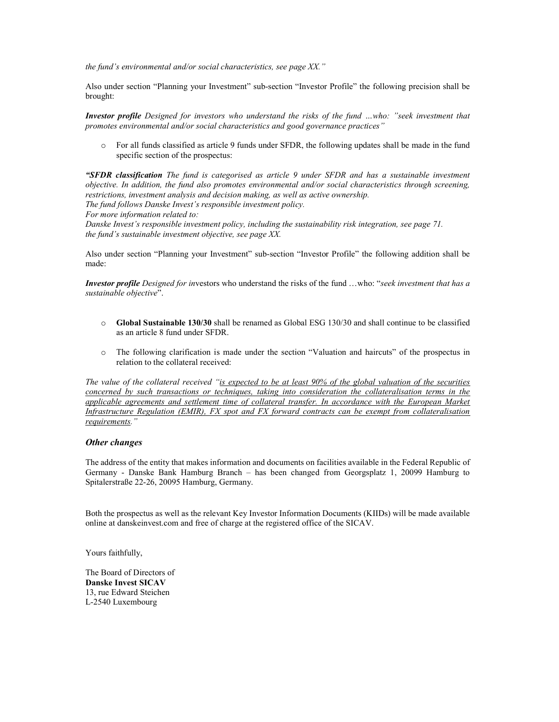the fund's environmental and/or social characteristics, see page  $XX$ ."

Also under section "Planning your Investment" sub-section "Investor Profile" the following precision shall be brought:

Investor profile Designed for investors who understand the risks of the fund …who: "seek investment that promotes environmental and/or social characteristics and good governance practices"

o For all funds classified as article 9 funds under SFDR, the following updates shall be made in the fund specific section of the prospectus:

"SFDR classification The fund is categorised as article 9 under SFDR and has a sustainable investment objective. In addition, the fund also promotes environmental and/or social characteristics through screening, restrictions, investment analysis and decision making, as well as active ownership.

The fund follows Danske Invest's responsible investment policy.

For more information related to:

Danske Invest's responsible investment policy, including the sustainability risk integration, see page 71. the fund's sustainable investment objective, see page XX.

Also under section "Planning your Investment" sub-section "Investor Profile" the following addition shall be made:

Investor profile Designed for investors who understand the risks of the fund ...who: "seek investment that has a sustainable objective".

- $\circ$  Global Sustainable 130/30 shall be renamed as Global ESG 130/30 and shall continue to be classified as an article 8 fund under SFDR.
- o The following clarification is made under the section "Valuation and haircuts" of the prospectus in relation to the collateral received:

The value of the collateral received "is expected to be at least 90% of the global valuation of the securities concerned by such transactions or techniques, taking into consideration the collateralisation terms in the applicable agreements and settlement time of collateral transfer. In accordance with the European Market Infrastructure Regulation (EMIR), FX spot and FX forward contracts can be exempt from collateralisation requirements."

#### Other changes

The address of the entity that makes information and documents on facilities available in the Federal Republic of Germany - Danske Bank Hamburg Branch – has been changed from Georgsplatz 1, 20099 Hamburg to Spitalerstraße 22-26, 20095 Hamburg, Germany.

Both the prospectus as well as the relevant Key Investor Information Documents (KIIDs) will be made available online at danskeinvest.com and free of charge at the registered office of the SICAV.

Yours faithfully,

The Board of Directors of Danske Invest SICAV 13, rue Edward Steichen L-2540 Luxembourg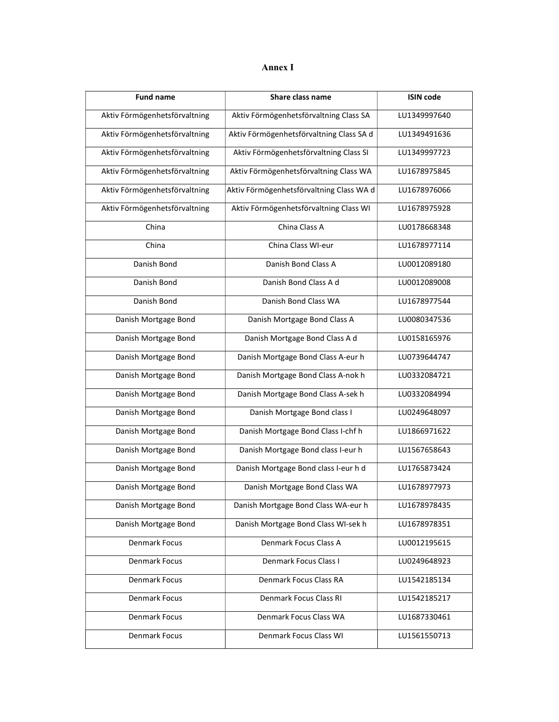| ٠<br>× |  |
|--------|--|
|--------|--|

| <b>Fund name</b>              | Share class name                         | <b>ISIN code</b> |  |  |
|-------------------------------|------------------------------------------|------------------|--|--|
| Aktiv Förmögenhetsförvaltning | Aktiv Förmögenhetsförvaltning Class SA   | LU1349997640     |  |  |
| Aktiv Förmögenhetsförvaltning | Aktiv Förmögenhetsförvaltning Class SA d | LU1349491636     |  |  |
| Aktiv Förmögenhetsförvaltning | Aktiv Förmögenhetsförvaltning Class SI   | LU1349997723     |  |  |
| Aktiv Förmögenhetsförvaltning | Aktiv Förmögenhetsförvaltning Class WA   | LU1678975845     |  |  |
| Aktiv Förmögenhetsförvaltning | Aktiv Förmögenhetsförvaltning Class WA d | LU1678976066     |  |  |
| Aktiv Förmögenhetsförvaltning | Aktiv Förmögenhetsförvaltning Class WI   | LU1678975928     |  |  |
| China                         | China Class A                            | LU0178668348     |  |  |
| China                         | China Class WI-eur                       | LU1678977114     |  |  |
| Danish Bond                   | Danish Bond Class A                      | LU0012089180     |  |  |
| Danish Bond                   | Danish Bond Class A d                    | LU0012089008     |  |  |
| Danish Bond                   | Danish Bond Class WA                     | LU1678977544     |  |  |
| Danish Mortgage Bond          | Danish Mortgage Bond Class A             | LU0080347536     |  |  |
| Danish Mortgage Bond          | Danish Mortgage Bond Class A d           | LU0158165976     |  |  |
| Danish Mortgage Bond          | Danish Mortgage Bond Class A-eur h       | LU0739644747     |  |  |
| Danish Mortgage Bond          | Danish Mortgage Bond Class A-nok h       | LU0332084721     |  |  |
| Danish Mortgage Bond          | Danish Mortgage Bond Class A-sek h       | LU0332084994     |  |  |
| Danish Mortgage Bond          | Danish Mortgage Bond class I             | LU0249648097     |  |  |
| Danish Mortgage Bond          | Danish Mortgage Bond Class I-chf h       |                  |  |  |
| Danish Mortgage Bond          | Danish Mortgage Bond class I-eur h       | LU1567658643     |  |  |
| Danish Mortgage Bond          | Danish Mortgage Bond class I-eur h d     | LU1765873424     |  |  |
| Danish Mortgage Bond          | Danish Mortgage Bond Class WA            | LU1678977973     |  |  |
| Danish Mortgage Bond          | Danish Mortgage Bond Class WA-eur h      | LU1678978435     |  |  |
| Danish Mortgage Bond          | Danish Mortgage Bond Class WI-sek h      | LU1678978351     |  |  |
| Denmark Focus                 | Denmark Focus Class A                    | LU0012195615     |  |  |
| <b>Denmark Focus</b>          | Denmark Focus Class I                    | LU0249648923     |  |  |
| Denmark Focus                 | Denmark Focus Class RA                   | LU1542185134     |  |  |
| Denmark Focus                 | Denmark Focus Class RI                   | LU1542185217     |  |  |
| Denmark Focus                 | Denmark Focus Class WA                   | LU1687330461     |  |  |
| Denmark Focus                 | Denmark Focus Class WI<br>LU1561550713   |                  |  |  |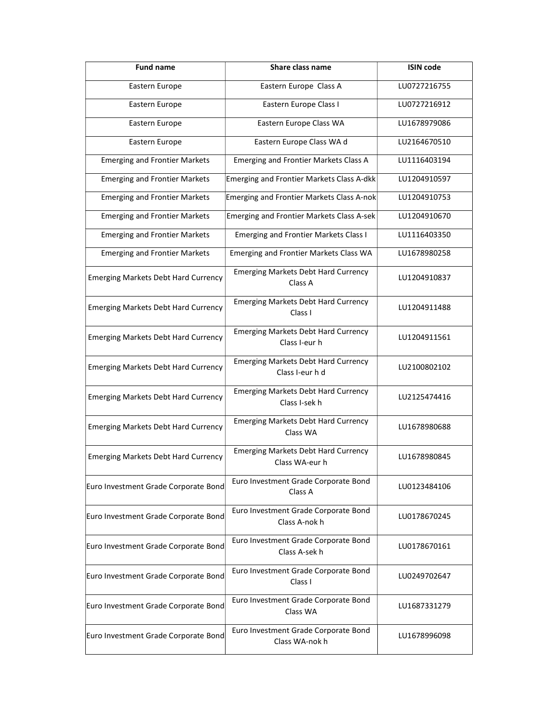| <b>Fund name</b>                           | Share class name                                              | <b>ISIN code</b> |
|--------------------------------------------|---------------------------------------------------------------|------------------|
| Eastern Europe                             | Eastern Europe Class A                                        | LU0727216755     |
| Eastern Europe                             | Eastern Europe Class I                                        | LU0727216912     |
| Eastern Europe                             | Eastern Europe Class WA                                       | LU1678979086     |
| Eastern Europe                             | Eastern Europe Class WA d                                     | LU2164670510     |
| <b>Emerging and Frontier Markets</b>       | Emerging and Frontier Markets Class A                         | LU1116403194     |
| <b>Emerging and Frontier Markets</b>       | <b>Emerging and Frontier Markets Class A-dkk</b>              | LU1204910597     |
| <b>Emerging and Frontier Markets</b>       | Emerging and Frontier Markets Class A-nok                     | LU1204910753     |
| <b>Emerging and Frontier Markets</b>       | <b>Emerging and Frontier Markets Class A-sek</b>              | LU1204910670     |
| <b>Emerging and Frontier Markets</b>       | <b>Emerging and Frontier Markets Class I</b>                  | LU1116403350     |
| <b>Emerging and Frontier Markets</b>       | Emerging and Frontier Markets Class WA                        | LU1678980258     |
| <b>Emerging Markets Debt Hard Currency</b> | <b>Emerging Markets Debt Hard Currency</b><br>Class A         | LU1204910837     |
| <b>Emerging Markets Debt Hard Currency</b> | <b>Emerging Markets Debt Hard Currency</b><br>Class I         | LU1204911488     |
| <b>Emerging Markets Debt Hard Currency</b> | <b>Emerging Markets Debt Hard Currency</b><br>Class I-eur h   | LU1204911561     |
| <b>Emerging Markets Debt Hard Currency</b> | <b>Emerging Markets Debt Hard Currency</b><br>Class I-eur h d | LU2100802102     |
| <b>Emerging Markets Debt Hard Currency</b> | <b>Emerging Markets Debt Hard Currency</b><br>Class I-sek h   | LU2125474416     |
| <b>Emerging Markets Debt Hard Currency</b> | <b>Emerging Markets Debt Hard Currency</b><br>Class WA        | LU1678980688     |
| <b>Emerging Markets Debt Hard Currency</b> | <b>Emerging Markets Debt Hard Currency</b><br>Class WA-eur h  | LU1678980845     |
| Euro Investment Grade Corporate Bond       | Euro Investment Grade Corporate Bond<br>Class A               | LU0123484106     |
| Euro Investment Grade Corporate Bond       | Euro Investment Grade Corporate Bond<br>Class A-nok h         | LU0178670245     |
| Euro Investment Grade Corporate Bond       | Euro Investment Grade Corporate Bond<br>Class A-sek h         | LU0178670161     |
| Euro Investment Grade Corporate Bond       | Euro Investment Grade Corporate Bond<br>Class I               | LU0249702647     |
| Euro Investment Grade Corporate Bond       | Euro Investment Grade Corporate Bond<br>Class WA              | LU1687331279     |
| Euro Investment Grade Corporate Bond       | Euro Investment Grade Corporate Bond<br>Class WA-nok h        | LU1678996098     |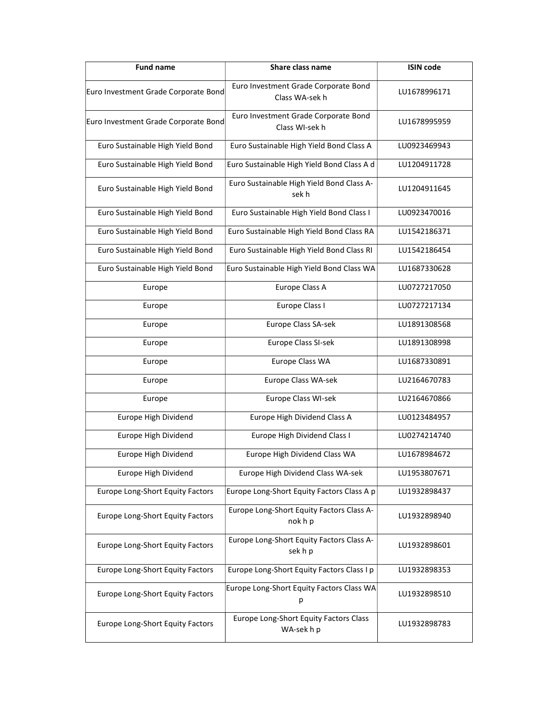| <b>Fund name</b>                     | Share class name                                      | <b>ISIN code</b> |  |
|--------------------------------------|-------------------------------------------------------|------------------|--|
| Euro Investment Grade Corporate Bond | Euro Investment Grade Corporate Bond<br>Class WA-sekh | LU1678996171     |  |
| Euro Investment Grade Corporate Bond | Euro Investment Grade Corporate Bond<br>Class WI-sekh | LU1678995959     |  |
| Euro Sustainable High Yield Bond     | Euro Sustainable High Yield Bond Class A              | LU0923469943     |  |
| Euro Sustainable High Yield Bond     | Euro Sustainable High Yield Bond Class A d            | LU1204911728     |  |
| Euro Sustainable High Yield Bond     | Euro Sustainable High Yield Bond Class A-<br>sek h    | LU1204911645     |  |
| Euro Sustainable High Yield Bond     | Euro Sustainable High Yield Bond Class I              | LU0923470016     |  |
| Euro Sustainable High Yield Bond     | Euro Sustainable High Yield Bond Class RA             | LU1542186371     |  |
| Euro Sustainable High Yield Bond     | Euro Sustainable High Yield Bond Class RI             | LU1542186454     |  |
| Euro Sustainable High Yield Bond     | Euro Sustainable High Yield Bond Class WA             | LU1687330628     |  |
| Europe                               | Europe Class A                                        | LU0727217050     |  |
| Europe                               | Europe Class I                                        | LU0727217134     |  |
| Europe                               | Europe Class SA-sek                                   | LU1891308568     |  |
| Europe                               | Europe Class SI-sek                                   | LU1891308998     |  |
| Europe                               | Europe Class WA                                       | LU1687330891     |  |
| Europe                               | Europe Class WA-sek                                   | LU2164670783     |  |
| Europe                               | Europe Class WI-sek                                   | LU2164670866     |  |
| Europe High Dividend                 | Europe High Dividend Class A                          | LU0123484957     |  |
| Europe High Dividend                 | Europe High Dividend Class I                          | LU0274214740     |  |
| Europe High Dividend                 | Europe High Dividend Class WA                         | LU1678984672     |  |
| Europe High Dividend                 | Europe High Dividend Class WA-sek                     | LU1953807671     |  |
| Europe Long-Short Equity Factors     | Europe Long-Short Equity Factors Class A p            | LU1932898437     |  |
| Europe Long-Short Equity Factors     | Europe Long-Short Equity Factors Class A-<br>nok h p  | LU1932898940     |  |
| Europe Long-Short Equity Factors     | Europe Long-Short Equity Factors Class A-<br>sek h p  | LU1932898601     |  |
| Europe Long-Short Equity Factors     | Europe Long-Short Equity Factors Class I p            | LU1932898353     |  |
| Europe Long-Short Equity Factors     | Europe Long-Short Equity Factors Class WA<br>р        | LU1932898510     |  |
| Europe Long-Short Equity Factors     | Europe Long-Short Equity Factors Class<br>WA-sekhp    | LU1932898783     |  |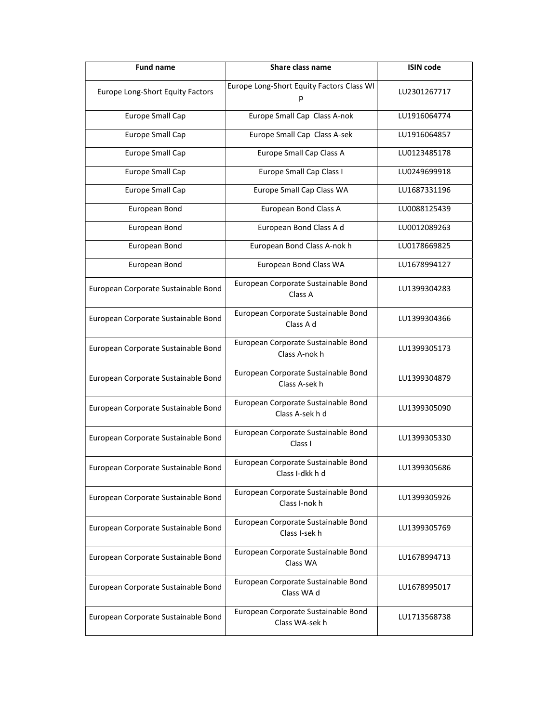| Share class name<br><b>Fund name</b> |                                                        | <b>ISIN code</b> |
|--------------------------------------|--------------------------------------------------------|------------------|
| Europe Long-Short Equity Factors     | Europe Long-Short Equity Factors Class WI<br>р         | LU2301267717     |
| <b>Europe Small Cap</b>              | Europe Small Cap Class A-nok                           | LU1916064774     |
| <b>Europe Small Cap</b>              | Europe Small Cap Class A-sek                           | LU1916064857     |
| <b>Europe Small Cap</b>              | <b>Europe Small Cap Class A</b>                        | LU0123485178     |
| <b>Europe Small Cap</b>              | Europe Small Cap Class I                               | LU0249699918     |
| <b>Europe Small Cap</b>              | Europe Small Cap Class WA                              | LU1687331196     |
| European Bond                        | European Bond Class A                                  | LU0088125439     |
| European Bond                        | European Bond Class A d                                | LU0012089263     |
| European Bond                        | European Bond Class A-nok h                            | LU0178669825     |
| European Bond                        | European Bond Class WA                                 | LU1678994127     |
| European Corporate Sustainable Bond  | European Corporate Sustainable Bond<br>Class A         | LU1399304283     |
| European Corporate Sustainable Bond  | European Corporate Sustainable Bond<br>Class A d       | LU1399304366     |
| European Corporate Sustainable Bond  | European Corporate Sustainable Bond<br>Class A-nok h   | LU1399305173     |
| European Corporate Sustainable Bond  | European Corporate Sustainable Bond<br>Class A-sek h   | LU1399304879     |
| European Corporate Sustainable Bond  | European Corporate Sustainable Bond<br>Class A-sek h d | LU1399305090     |
| European Corporate Sustainable Bond  | European Corporate Sustainable Bond<br>Class I         | LU1399305330     |
| European Corporate Sustainable Bond  | European Corporate Sustainable Bond<br>Class I-dkk h d | LU1399305686     |
| European Corporate Sustainable Bond  | European Corporate Sustainable Bond<br>Class I-nok h   | LU1399305926     |
| European Corporate Sustainable Bond  | European Corporate Sustainable Bond<br>Class I-sek h   | LU1399305769     |
| European Corporate Sustainable Bond  | European Corporate Sustainable Bond<br>Class WA        | LU1678994713     |
| European Corporate Sustainable Bond  | European Corporate Sustainable Bond<br>Class WA d      | LU1678995017     |
| European Corporate Sustainable Bond  | European Corporate Sustainable Bond<br>Class WA-sek h  | LU1713568738     |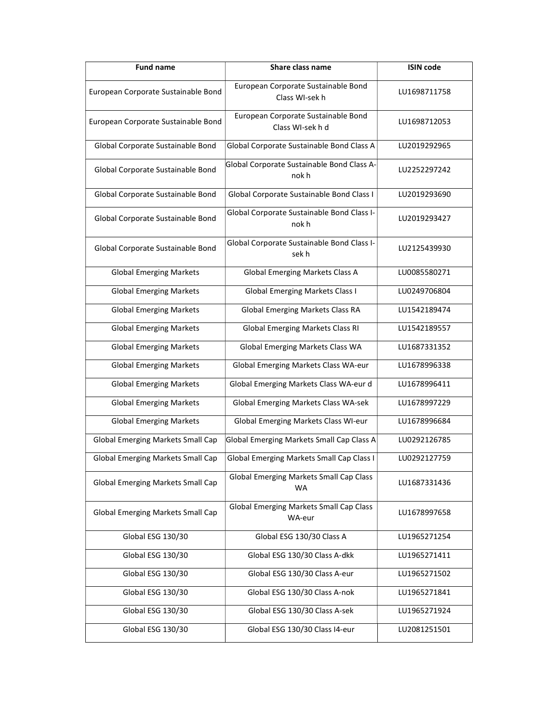| <b>Fund name</b>                         | Share class name                                            | <b>ISIN code</b> |
|------------------------------------------|-------------------------------------------------------------|------------------|
| European Corporate Sustainable Bond      | European Corporate Sustainable Bond<br>Class WI-sek h       | LU1698711758     |
| European Corporate Sustainable Bond      | European Corporate Sustainable Bond<br>Class WI-sekhd       | LU1698712053     |
| Global Corporate Sustainable Bond        | Global Corporate Sustainable Bond Class A                   | LU2019292965     |
| Global Corporate Sustainable Bond        | Global Corporate Sustainable Bond Class A-<br>nok h         | LU2252297242     |
| Global Corporate Sustainable Bond        | Global Corporate Sustainable Bond Class I                   | LU2019293690     |
| Global Corporate Sustainable Bond        | Global Corporate Sustainable Bond Class I-<br>nok h         | LU2019293427     |
| Global Corporate Sustainable Bond        | Global Corporate Sustainable Bond Class I-<br>sek h         | LU2125439930     |
| <b>Global Emerging Markets</b>           | <b>Global Emerging Markets Class A</b>                      | LU0085580271     |
| <b>Global Emerging Markets</b>           | <b>Global Emerging Markets Class I</b>                      | LU0249706804     |
| <b>Global Emerging Markets</b>           | Global Emerging Markets Class RA                            | LU1542189474     |
| <b>Global Emerging Markets</b>           | <b>Global Emerging Markets Class RI</b>                     | LU1542189557     |
| <b>Global Emerging Markets</b>           | Global Emerging Markets Class WA                            | LU1687331352     |
| <b>Global Emerging Markets</b>           | Global Emerging Markets Class WA-eur                        | LU1678996338     |
| <b>Global Emerging Markets</b>           | Global Emerging Markets Class WA-eur d                      | LU1678996411     |
| <b>Global Emerging Markets</b>           | Global Emerging Markets Class WA-sek                        | LU1678997229     |
| <b>Global Emerging Markets</b>           | Global Emerging Markets Class WI-eur                        | LU1678996684     |
| Global Emerging Markets Small Cap        | Global Emerging Markets Small Cap Class A                   | LU0292126785     |
| <b>Global Emerging Markets Small Cap</b> | <b>Global Emerging Markets Small Cap Class I</b>            | LU0292127759     |
| <b>Global Emerging Markets Small Cap</b> | <b>Global Emerging Markets Small Cap Class</b><br><b>WA</b> | LU1687331436     |
| <b>Global Emerging Markets Small Cap</b> | <b>Global Emerging Markets Small Cap Class</b><br>WA-eur    | LU1678997658     |
| Global ESG 130/30                        | Global ESG 130/30 Class A                                   | LU1965271254     |
| Global ESG 130/30                        | Global ESG 130/30 Class A-dkk                               | LU1965271411     |
| Global ESG 130/30                        | Global ESG 130/30 Class A-eur                               | LU1965271502     |
| Global ESG 130/30                        | Global ESG 130/30 Class A-nok                               | LU1965271841     |
| Global ESG 130/30                        | Global ESG 130/30 Class A-sek                               | LU1965271924     |
| Global ESG 130/30                        | Global ESG 130/30 Class I4-eur                              | LU2081251501     |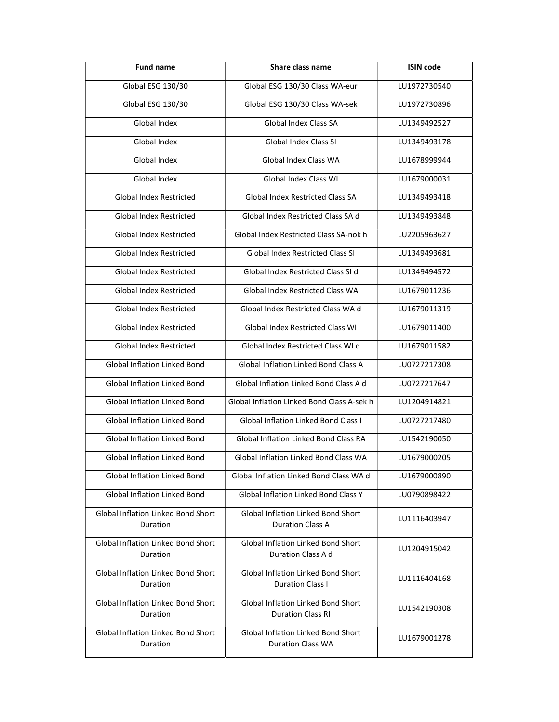| <b>Fund name</b>                                      | Share class name                                                      | <b>ISIN code</b> |
|-------------------------------------------------------|-----------------------------------------------------------------------|------------------|
| Global ESG 130/30                                     | Global ESG 130/30 Class WA-eur                                        | LU1972730540     |
| Global ESG 130/30                                     | Global ESG 130/30 Class WA-sek                                        | LU1972730896     |
| Global Index                                          | Global Index Class SA                                                 | LU1349492527     |
| Global Index                                          | Global Index Class SI                                                 | LU1349493178     |
| Global Index                                          | Global Index Class WA                                                 | LU1678999944     |
| Global Index                                          | Global Index Class WI                                                 | LU1679000031     |
| Global Index Restricted                               | Global Index Restricted Class SA                                      | LU1349493418     |
| <b>Global Index Restricted</b>                        | Global Index Restricted Class SA d                                    | LU1349493848     |
| <b>Global Index Restricted</b>                        | Global Index Restricted Class SA-nok h                                | LU2205963627     |
| <b>Global Index Restricted</b>                        | <b>Global Index Restricted Class SI</b>                               | LU1349493681     |
| Global Index Restricted                               | Global Index Restricted Class SI d                                    | LU1349494572     |
| Global Index Restricted                               | Global Index Restricted Class WA                                      | LU1679011236     |
| <b>Global Index Restricted</b>                        | Global Index Restricted Class WA d                                    | LU1679011319     |
| Global Index Restricted                               | <b>Global Index Restricted Class WI</b>                               | LU1679011400     |
| Global Index Restricted                               | Global Index Restricted Class WI d                                    | LU1679011582     |
| Global Inflation Linked Bond                          | Global Inflation Linked Bond Class A                                  | LU0727217308     |
| Global Inflation Linked Bond                          | Global Inflation Linked Bond Class A d                                | LU0727217647     |
| Global Inflation Linked Bond                          | Global Inflation Linked Bond Class A-sek h                            | LU1204914821     |
| Global Inflation Linked Bond                          | <b>Global Inflation Linked Bond Class I</b>                           | LU0727217480     |
| <b>Global Inflation Linked Bond</b>                   | Global Inflation Linked Bond Class RA                                 | LU1542190050     |
| Global Inflation Linked Bond                          | Global Inflation Linked Bond Class WA                                 | LU1679000205     |
| <b>Global Inflation Linked Bond</b>                   | Global Inflation Linked Bond Class WA d                               | LU1679000890     |
| <b>Global Inflation Linked Bond</b>                   | <b>Global Inflation Linked Bond Class Y</b>                           | LU0790898422     |
| <b>Global Inflation Linked Bond Short</b><br>Duration | <b>Global Inflation Linked Bond Short</b><br><b>Duration Class A</b>  | LU1116403947     |
| Global Inflation Linked Bond Short<br>Duration        | Global Inflation Linked Bond Short<br>Duration Class A d              | LU1204915042     |
| Global Inflation Linked Bond Short<br>Duration        | Global Inflation Linked Bond Short<br><b>Duration Class I</b>         | LU1116404168     |
| Global Inflation Linked Bond Short<br>Duration        | <b>Global Inflation Linked Bond Short</b><br><b>Duration Class RI</b> | LU1542190308     |
| Global Inflation Linked Bond Short<br>Duration        | Global Inflation Linked Bond Short<br><b>Duration Class WA</b>        | LU1679001278     |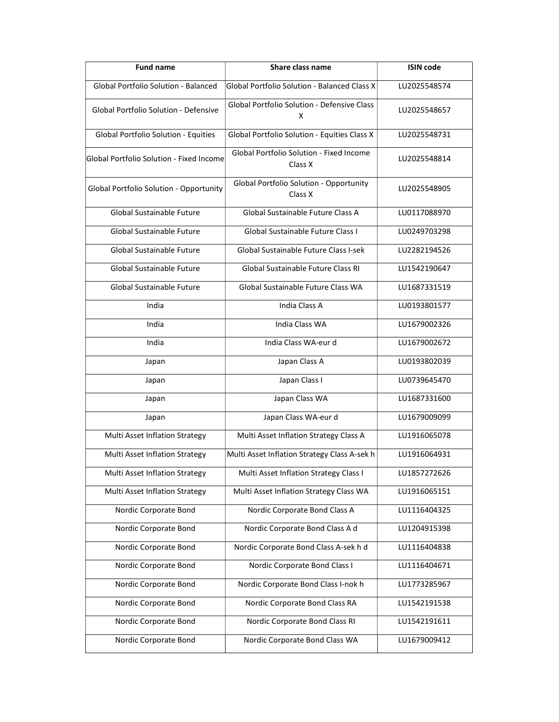| <b>Fund name</b>                         | Share class name                                        | <b>ISIN code</b> |  |
|------------------------------------------|---------------------------------------------------------|------------------|--|
| Global Portfolio Solution - Balanced     | Global Portfolio Solution - Balanced Class X            | LU2025548574     |  |
| Global Portfolio Solution - Defensive    | <b>Global Portfolio Solution - Defensive Class</b><br>x |                  |  |
| Global Portfolio Solution - Equities     | Global Portfolio Solution - Equities Class X            | LU2025548731     |  |
| Global Portfolio Solution - Fixed Income | Global Portfolio Solution - Fixed Income<br>Class X     | LU2025548814     |  |
| Global Portfolio Solution - Opportunity  | Global Portfolio Solution - Opportunity<br>Class X      | LU2025548905     |  |
| Global Sustainable Future                | Global Sustainable Future Class A                       | LU0117088970     |  |
| Global Sustainable Future                | Global Sustainable Future Class I                       | LU0249703298     |  |
| Global Sustainable Future                | Global Sustainable Future Class I-sek                   | LU2282194526     |  |
| Global Sustainable Future                | Global Sustainable Future Class RI                      | LU1542190647     |  |
| Global Sustainable Future                | Global Sustainable Future Class WA                      | LU1687331519     |  |
| India                                    | <b>India Class A</b>                                    | LU0193801577     |  |
| India                                    | India Class WA                                          | LU1679002326     |  |
| India                                    | India Class WA-eur d                                    | LU1679002672     |  |
| Japan                                    | Japan Class A                                           | LU0193802039     |  |
| Japan                                    | Japan Class I                                           | LU0739645470     |  |
| Japan                                    | Japan Class WA                                          | LU1687331600     |  |
| Japan                                    | Japan Class WA-eur d                                    | LU1679009099     |  |
| Multi Asset Inflation Strategy           | Multi Asset Inflation Strategy Class A                  | LU1916065078     |  |
| Multi Asset Inflation Strategy           | Multi Asset Inflation Strategy Class A-sek h            | LU1916064931     |  |
| Multi Asset Inflation Strategy           | Multi Asset Inflation Strategy Class I                  | LU1857272626     |  |
| Multi Asset Inflation Strategy           | Multi Asset Inflation Strategy Class WA                 | LU1916065151     |  |
| Nordic Corporate Bond                    | Nordic Corporate Bond Class A                           | LU1116404325     |  |
| Nordic Corporate Bond                    | Nordic Corporate Bond Class A d                         | LU1204915398     |  |
| Nordic Corporate Bond                    | Nordic Corporate Bond Class A-sek h d                   | LU1116404838     |  |
| Nordic Corporate Bond                    | Nordic Corporate Bond Class I                           | LU1116404671     |  |
| Nordic Corporate Bond                    | Nordic Corporate Bond Class I-nok h                     | LU1773285967     |  |
| Nordic Corporate Bond                    | Nordic Corporate Bond Class RA                          | LU1542191538     |  |
| Nordic Corporate Bond                    | Nordic Corporate Bond Class RI                          | LU1542191611     |  |
| Nordic Corporate Bond                    | Nordic Corporate Bond Class WA                          | LU1679009412     |  |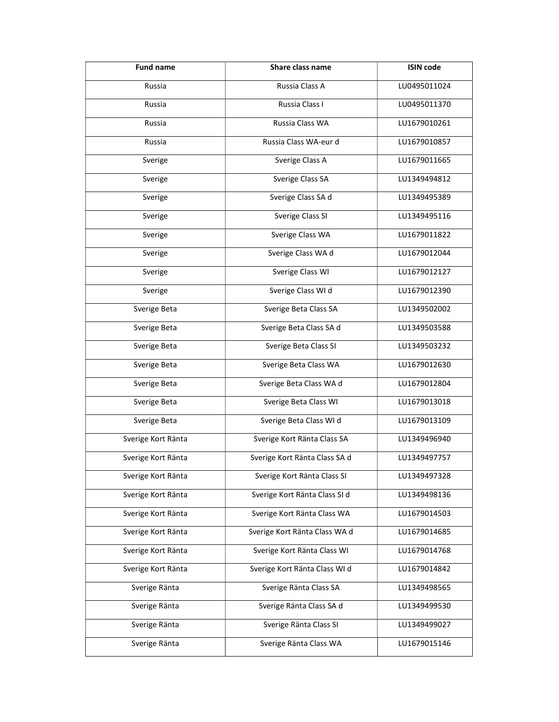| <b>Fund name</b>   | Share class name              |              |
|--------------------|-------------------------------|--------------|
| Russia             | Russia Class A                | LU0495011024 |
| Russia             | Russia Class I                | LU0495011370 |
| Russia             | Russia Class WA               | LU1679010261 |
| Russia             | Russia Class WA-eur d         | LU1679010857 |
| Sverige            | Sverige Class A               | LU1679011665 |
| Sverige            | Sverige Class SA              | LU1349494812 |
| Sverige            | Sverige Class SA d            | LU1349495389 |
| Sverige            | Sverige Class SI              | LU1349495116 |
| Sverige            | Sverige Class WA              | LU1679011822 |
| Sverige            | Sverige Class WA d            | LU1679012044 |
| Sverige            | Sverige Class WI              | LU1679012127 |
| Sverige            | Sverige Class WI d            | LU1679012390 |
| Sverige Beta       | Sverige Beta Class SA         | LU1349502002 |
| Sverige Beta       | Sverige Beta Class SA d       | LU1349503588 |
| Sverige Beta       | Sverige Beta Class SI         | LU1349503232 |
| Sverige Beta       | Sverige Beta Class WA         | LU1679012630 |
| Sverige Beta       | Sverige Beta Class WA d       | LU1679012804 |
| Sverige Beta       | Sverige Beta Class WI         | LU1679013018 |
| Sverige Beta       | Sverige Beta Class WI d       | LU1679013109 |
| Sverige Kort Ränta | Sverige Kort Ränta Class SA   | LU1349496940 |
| Sverige Kort Ränta | Sverige Kort Ränta Class SA d | LU1349497757 |
| Sverige Kort Ränta | Sverige Kort Ränta Class SI   | LU1349497328 |
| Sverige Kort Ränta | Sverige Kort Ränta Class SI d | LU1349498136 |
| Sverige Kort Ränta | Sverige Kort Ränta Class WA   | LU1679014503 |
| Sverige Kort Ränta | Sverige Kort Ränta Class WA d | LU1679014685 |
| Sverige Kort Ränta | Sverige Kort Ränta Class WI   | LU1679014768 |
| Sverige Kort Ränta | Sverige Kort Ränta Class WI d | LU1679014842 |
| Sverige Ränta      | Sverige Ränta Class SA        | LU1349498565 |
| Sverige Ränta      | Sverige Ränta Class SA d      | LU1349499530 |
| Sverige Ränta      | Sverige Ränta Class SI        | LU1349499027 |
| Sverige Ränta      | Sverige Ränta Class WA        | LU1679015146 |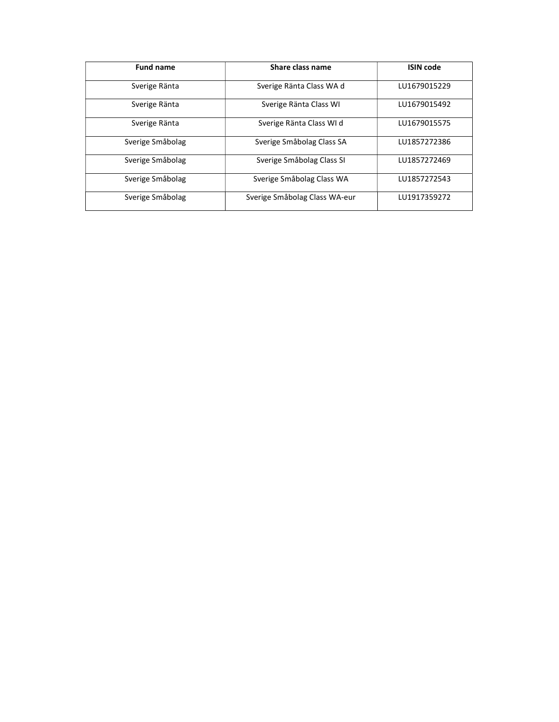| <b>Fund name</b> | Share class name              | <b>ISIN</b> code |  |
|------------------|-------------------------------|------------------|--|
| Sverige Ränta    | Sverige Ränta Class WA d      | LU1679015229     |  |
| Sverige Ränta    | Sverige Ränta Class WI        | LU1679015492     |  |
| Sverige Ränta    | Sverige Ränta Class WI d      | LU1679015575     |  |
| Sverige Småbolag | Sverige Småbolag Class SA     | LU1857272386     |  |
| Sverige Småbolag | Sverige Småbolag Class SI     | LU1857272469     |  |
| Sverige Småbolag | Sverige Småbolag Class WA     | LU1857272543     |  |
| Sverige Småbolag | Sverige Småbolag Class WA-eur | LU1917359272     |  |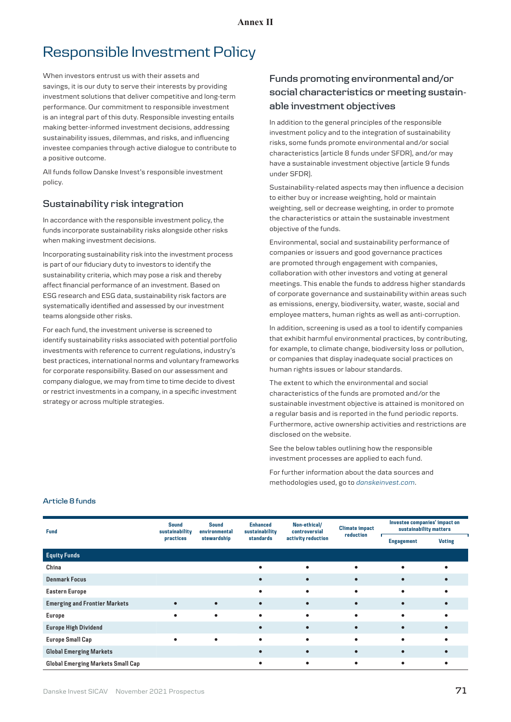# Responsible Investment Policy

When investors entrust us with their assets and savings, it is our duty to serve their interests by providing investment solutions that deliver competitive and long-term performance. Our commitment to responsible investment is an integral part of this duty. Responsible investing entails making better-informed investment decisions, addressing sustainability issues, dilemmas, and risks, and influencing investee companies through active dialogue to contribute to a positive outcome.

All funds follow Danske Invest's responsible investment policy.

## **Sustainability risk integration**

In accordance with the responsible investment policy, the funds incorporate sustainability risks alongside other risks when making investment decisions.

Incorporating sustainability risk into the investment process is part of our fiduciary duty to investors to identify the sustainability criteria, which may pose a risk and thereby affect financial performance of an investment. Based on ESG research and ESG data, sustainability risk factors are systematically identified and assessed by our investment teams alongside other risks.

For each fund, the investment universe is screened to identify sustainability risks associated with potential portfolio investments with reference to current regulations, industry's best practices, international norms and voluntary frameworks for corporate responsibility. Based on our assessment and company dialogue, we may from time to time decide to divest or restrict investments in a company, in a specific investment strategy or across multiple strategies.

# **Funds promoting environmental and/or social characteristics or meeting sustainable investment objectives**

In addition to the general principles of the responsible investment policy and to the integration of sustainability risks, some funds promote environmental and/or social characteristics (article 8 funds under SFDR), and/or may have a sustainable investment objective (article 9 funds under SFDR).

Sustainability-related aspects may then influence a decision to either buy or increase weighting, hold or maintain weighting, sell or decrease weighting, in order to promote the characteristics or attain the sustainable investment objective of the funds.

Environmental, social and sustainability performance of companies or issuers and good governance practices are promoted through engagement with companies, collaboration with other investors and voting at general meetings. This enable the funds to address higher standards of corporate governance and sustainability within areas such as emissions, energy, biodiversity, water, waste, social and employee matters, human rights as well as anti-corruption.

In addition, screening is used as a tool to identify companies that exhibit harmful environmental practices, by contributing, for example, to climate change, biodiversity loss or pollution, or companies that display inadequate social practices on human rights issues or labour standards.

The extent to which the environmental and social characteristics of the funds are promoted and/or the sustainable investment objective is attained is monitored on a regular basis and is reported in the fund periodic reports. Furthermore, active ownership activities and restrictions are disclosed on the website.

See the below tables outlining how the responsible investment processes are applied to each fund.

For further information about the data sources and methodologies used, go to *[danskeinvest.com](http://danskeinvest.com)*.

### **Article 8 funds**

| <b>Fund</b>                          | <b>Sound</b><br>sustainability<br>practices | <b>Sound</b><br>environmental<br>stewardship | <b>Enhanced</b><br>sustainability<br>standards | Non-ethical/<br>controversial<br>activity reduction | <b>Climate impact</b><br>reduction | Investee companies' impact on<br>sustainability matters |               |
|--------------------------------------|---------------------------------------------|----------------------------------------------|------------------------------------------------|-----------------------------------------------------|------------------------------------|---------------------------------------------------------|---------------|
|                                      |                                             |                                              |                                                |                                                     |                                    | <b>Engagement</b>                                       | <b>Voting</b> |
| <b>Equity Funds</b>                  |                                             |                                              |                                                |                                                     |                                    |                                                         |               |
| China                                |                                             |                                              |                                                |                                                     |                                    |                                                         |               |
| <b>Denmark Focus</b>                 |                                             |                                              |                                                |                                                     |                                    |                                                         |               |
| <b>Eastern Europe</b>                |                                             |                                              |                                                |                                                     |                                    |                                                         |               |
| <b>Emerging and Frontier Markets</b> |                                             |                                              |                                                |                                                     |                                    |                                                         |               |
| <b>Europe</b>                        | ٠                                           | $\bullet$                                    |                                                | $\bullet$                                           | ٠                                  | ٠                                                       |               |
| <b>Europe High Dividend</b>          |                                             |                                              |                                                |                                                     |                                    |                                                         |               |
| <b>Europe Small Cap</b>              |                                             |                                              |                                                |                                                     |                                    |                                                         |               |
| <b>Global Emerging Markets</b>       |                                             |                                              |                                                | $\bullet$                                           |                                    |                                                         |               |
| Global Emerging Markets Small Cap    |                                             |                                              |                                                | ٠                                                   | ٠                                  |                                                         |               |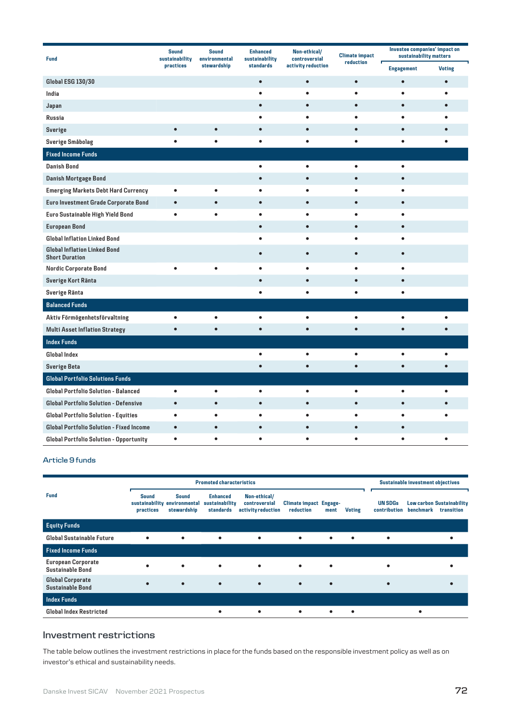| <b>Fund</b>                                                  | <b>Sound</b><br><b>Sound</b><br>sustainability<br>environmental |             | <b>Enhanced</b><br>sustainability | Non-ethical/<br>controversial | <b>Climate impact</b> | Investee companies' impact on<br>sustainability matters |               |  |
|--------------------------------------------------------------|-----------------------------------------------------------------|-------------|-----------------------------------|-------------------------------|-----------------------|---------------------------------------------------------|---------------|--|
|                                                              | practices                                                       | stewardship | standards                         | activity reduction            | reduction<br>г        | <b>Engagement</b>                                       | <b>Voting</b> |  |
| <b>Global ESG 130/30</b>                                     |                                                                 |             | $\bullet$                         | $\bullet$                     | $\bullet$             | $\bullet$                                               | $\bullet$     |  |
| India                                                        |                                                                 |             | ٠                                 | ٠                             | $\bullet$             | $\bullet$                                               | ٠             |  |
| Japan                                                        |                                                                 |             | $\bullet$                         | $\bullet$                     | $\bullet$             | $\bullet$                                               | $\bullet$     |  |
| <b>Russia</b>                                                |                                                                 |             | $\bullet$                         | ٠                             | ٠                     | ٠                                                       | ٠             |  |
| <b>Sverige</b>                                               | $\bullet$                                                       | $\bullet$   | $\bullet$                         | $\bullet$                     | $\bullet$             | $\bullet$                                               | $\bullet$     |  |
| Sverige Småbolag                                             | $\bullet$                                                       | $\bullet$   | $\bullet$                         | $\bullet$                     | $\bullet$             | $\bullet$                                               | ٠             |  |
| <b>Fixed Income Funds</b>                                    |                                                                 |             |                                   |                               |                       |                                                         |               |  |
| <b>Danish Bond</b>                                           |                                                                 |             | $\bullet$                         | $\bullet$                     | $\bullet$             | $\bullet$                                               |               |  |
| Danish Mortgage Bond                                         |                                                                 |             | $\bullet$                         | $\bullet$                     | $\bullet$             | $\bullet$                                               |               |  |
| <b>Emerging Markets Debt Hard Currency</b>                   | $\bullet$                                                       | $\bullet$   | ٠                                 | ٠                             | ٠                     | $\bullet$                                               |               |  |
| Euro Investment Grade Corporate Bond                         | $\bullet$                                                       | $\bullet$   | $\bullet$                         | $\bullet$                     | $\bullet$             | $\bullet$                                               |               |  |
| Euro Sustainable High Yield Bond                             | $\bullet$                                                       | $\bullet$   | $\bullet$                         | $\bullet$                     | $\bullet$             | $\bullet$                                               |               |  |
| <b>European Bond</b>                                         |                                                                 |             | $\bullet$                         | $\bullet$                     | $\bullet$             | $\bullet$                                               |               |  |
| <b>Global Inflation Linked Bond</b>                          |                                                                 |             | $\bullet$                         | $\bullet$                     | $\bullet$             | $\bullet$                                               |               |  |
| <b>Global Inflation Linked Bond</b><br><b>Short Duration</b> |                                                                 |             | $\bullet$                         | $\bullet$                     | $\bullet$             | $\bullet$                                               |               |  |
| Nordic Corporate Bond                                        | $\bullet$                                                       | ٠           | $\bullet$                         | $\bullet$                     | $\bullet$             | $\bullet$                                               |               |  |
| Sverige Kort Ränta                                           |                                                                 |             | $\bullet$                         | $\bullet$                     | $\bullet$             | $\bullet$                                               |               |  |
| Sverige Ränta                                                |                                                                 |             | ō                                 | $\bullet$                     | $\bullet$             | $\bullet$                                               |               |  |
| <b>Balanced Funds</b>                                        |                                                                 |             |                                   |                               |                       |                                                         |               |  |
| Aktiv Förmögenhetsförvaltning                                | $\bullet$                                                       | $\bullet$   | $\bullet$                         | $\bullet$                     | $\bullet$             | $\bullet$                                               | ٠             |  |
| <b>Multi Asset Inflation Strategy</b>                        | $\bullet$                                                       | $\bullet$   | $\bullet$                         | $\bullet$                     | $\bullet$             | $\bullet$                                               | $\bullet$     |  |
| <b>Index Funds</b>                                           |                                                                 |             |                                   |                               |                       |                                                         |               |  |
| <b>Global Index</b>                                          |                                                                 |             | $\bullet$                         | ٠                             | $\bullet$             | $\bullet$                                               | $\bullet$     |  |
| <b>Sverige Beta</b>                                          |                                                                 |             | $\bullet$                         | $\bullet$                     | $\bullet$             | $\bullet$                                               | $\bullet$     |  |
| <b>Global Portfolio Solutions Funds</b>                      |                                                                 |             |                                   |                               |                       |                                                         |               |  |
| <b>Global Portfolio Solution - Balanced</b>                  | $\bullet$                                                       | $\bullet$   | $\bullet$                         | $\bullet$                     | $\bullet$             | $\bullet$                                               | $\bullet$     |  |
| Global Portfolio Solution - Defensive                        | $\bullet$                                                       | $\bullet$   | $\bullet$                         | $\bullet$                     | $\bullet$             | $\bullet$                                               | $\bullet$     |  |
| Global Portfolio Solution - Equities                         | $\bullet$                                                       | $\bullet$   | $\bullet$                         | $\bullet$                     | $\bullet$             | $\bullet$                                               |               |  |
| Global Portfolio Solution - Fixed Income                     | $\bullet$                                                       | $\bullet$   |                                   | $\bullet$                     | $\bullet$             | $\bullet$                                               |               |  |
| Global Portfolio Solution - Opportunity                      | $\bullet$                                                       | $\bullet$   | ٠                                 | $\bullet$                     | $\bullet$             | ٠                                                       | ٠             |  |

### **Article 9 funds**

|                                                      |                                             | <b>Promoted characteristics</b>              |                                                | <b>Sustainable investment objectives</b>            |                                            |           |               |                                |                                                             |
|------------------------------------------------------|---------------------------------------------|----------------------------------------------|------------------------------------------------|-----------------------------------------------------|--------------------------------------------|-----------|---------------|--------------------------------|-------------------------------------------------------------|
| <b>Fund</b>                                          | <b>Sound</b><br>sustainability<br>practices | <b>Sound</b><br>environmental<br>stewardship | <b>Enhanced</b><br>sustainability<br>standards | Non-ethical/<br>controversial<br>activity reduction | <b>Climate impact Engage-</b><br>reduction | ment      | <b>Voting</b> | <b>UN SDGs</b><br>contribution | <b>Low carbon Sustainability</b><br>benchmark<br>transition |
| <b>Equity Funds</b>                                  |                                             |                                              |                                                |                                                     |                                            |           |               |                                |                                                             |
| <b>Global Sustainable Future</b>                     |                                             | $\bullet$                                    | ٠                                              | ٠                                                   | ٠                                          | $\bullet$ | ٠             | ٠                              |                                                             |
| <b>Fixed Income Funds</b>                            |                                             |                                              |                                                |                                                     |                                            |           |               |                                |                                                             |
| <b>European Corporate</b><br><b>Sustainable Bond</b> |                                             | $\bullet$                                    | $\bullet$                                      |                                                     | ٠                                          | ٠         |               |                                |                                                             |
| <b>Global Corporate</b><br><b>Sustainable Bond</b>   |                                             | $\bullet$                                    | $\bullet$                                      |                                                     | $\bullet$                                  | ٠         |               | ٠                              |                                                             |
| Index Funds                                          |                                             |                                              |                                                |                                                     |                                            |           |               |                                |                                                             |
| <b>Global Index Restricted</b>                       |                                             |                                              |                                                |                                                     | ٠                                          | ٠         | ٠             |                                |                                                             |

# **Investment restrictions**

The table below outlines the investment restrictions in place for the funds based on the responsible investment policy as well as on investor's ethical and sustainability needs.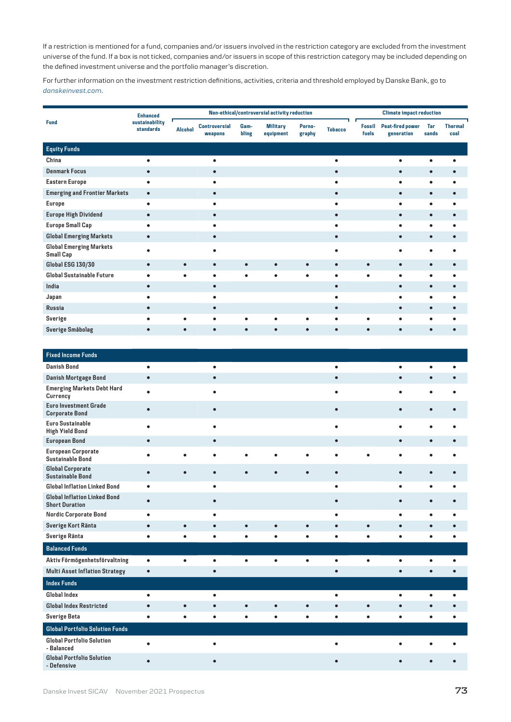If a restriction is mentioned for a fund, companies and/or issuers involved in the restriction category are excluded from the investment universe of the fund. If a box is not ticked, companies and/or issuers in scope of this restriction category may be included depending on the defined investment universe and the portfolio manager's discretion.

For further information on the investment restriction definitions, activities, criteria and threshold employed by Danske Bank, go to *[danskeinvest.c](http://www.danskeinvest.com)om*.

| <b>Thermal</b><br>coal |
|------------------------|
|                        |
|                        |
|                        |
|                        |
|                        |
| $\bullet$              |
|                        |
| $\bullet$              |
|                        |
|                        |
|                        |
|                        |
|                        |
|                        |
|                        |
| $\bullet$              |
| ٠                      |
|                        |
|                        |

| <b>Fixed Income Funds</b>                                    |           |           |           |           |           |           |           |           |           |           |   |
|--------------------------------------------------------------|-----------|-----------|-----------|-----------|-----------|-----------|-----------|-----------|-----------|-----------|---|
| <b>Danish Bond</b>                                           | $\bullet$ |           | $\bullet$ |           |           |           | $\bullet$ |           | ٠         | $\bullet$ | Ċ |
| Danish Mortgage Bond                                         | $\bullet$ |           | $\bullet$ |           |           |           | $\bullet$ |           | ٠         | $\bullet$ |   |
| <b>Emerging Markets Debt Hard</b><br>Currency                | $\bullet$ |           |           |           |           |           |           |           |           | $\bullet$ |   |
| <b>Euro Investment Grade</b><br><b>Corporate Bond</b>        | $\bullet$ |           | $\bullet$ |           |           |           | $\bullet$ |           | $\bullet$ | $\bullet$ |   |
| <b>Euro Sustainable</b><br><b>High Yield Bond</b>            | $\bullet$ |           | $\bullet$ |           |           |           | $\bullet$ |           |           | $\bullet$ | c |
| <b>European Bond</b>                                         | $\bullet$ |           | $\bullet$ |           |           |           |           |           | $\bullet$ | $\bullet$ |   |
| <b>European Corporate</b><br><b>Sustainable Bond</b>         | $\bullet$ | $\bullet$ | $\bullet$ | ٠         | $\bullet$ | $\bullet$ | $\bullet$ | ٠         | $\bullet$ | $\bullet$ | ċ |
| <b>Global Corporate</b><br><b>Sustainable Bond</b>           | $\bullet$ | $\bullet$ | $\bullet$ | ٠         | ٠         | $\bullet$ | $\bullet$ |           | $\bullet$ | $\bullet$ |   |
| <b>Global Inflation Linked Bond</b>                          | $\bullet$ |           | ٠         |           |           |           | ٠         |           | ٠         | $\bullet$ | ٠ |
| <b>Global Inflation Linked Bond</b><br><b>Short Duration</b> | $\bullet$ |           |           |           |           |           |           |           | $\bullet$ | $\bullet$ |   |
| Nordic Corporate Bond                                        | $\bullet$ |           | ٠         |           |           |           |           |           | $\bullet$ | $\bullet$ |   |
| Sverige Kort Ränta                                           | $\bullet$ | $\bullet$ | $\bullet$ | $\bullet$ | $\bullet$ | $\bullet$ | $\bullet$ | $\bullet$ | $\bullet$ | $\bullet$ |   |
| Sverige Ränta                                                | $\bullet$ | $\bullet$ | $\bullet$ | ٠         | $\bullet$ | $\bullet$ | ٠         | $\bullet$ | $\bullet$ | $\bullet$ | ¢ |
| <b>Balanced Funds</b>                                        |           |           |           |           |           |           |           |           |           |           |   |
| Aktiv Förmögenhetsförvaltning                                | $\bullet$ | $\bullet$ | $\bullet$ | $\bullet$ | $\bullet$ | $\bullet$ | $\bullet$ | $\bullet$ | $\bullet$ | $\bullet$ | Ċ |
| <b>Multi Asset Inflation Strategy</b>                        | $\bullet$ |           | $\bullet$ |           |           |           |           |           | ä         | $\bullet$ |   |
| <b>Index Funds</b>                                           |           |           |           |           |           |           |           |           |           |           |   |
| Global Index                                                 | $\bullet$ |           | $\bullet$ |           |           |           | $\bullet$ |           | $\bullet$ | $\bullet$ | ٠ |
| <b>Global Index Restricted</b>                               | $\bullet$ | $\bullet$ | $\bullet$ | $\bullet$ | $\bullet$ | $\bullet$ | $\bullet$ | $\bullet$ | $\bullet$ | $\bullet$ |   |
| <b>Sverige Beta</b>                                          | $\bullet$ | $\bullet$ | $\bullet$ | ٠         | $\bullet$ | $\bullet$ | ٠         | ٠         | ٠         | $\bullet$ | ٠ |
| <b>Global Portfolio Solution Funds</b>                       |           |           |           |           |           |           |           |           |           |           |   |
| <b>Global Portfolio Solution</b><br>- Balanced               | $\bullet$ |           |           |           |           |           |           |           |           |           |   |
| <b>Global Portfolio Solution</b><br>- Defensive              |           |           |           |           |           |           |           |           |           |           |   |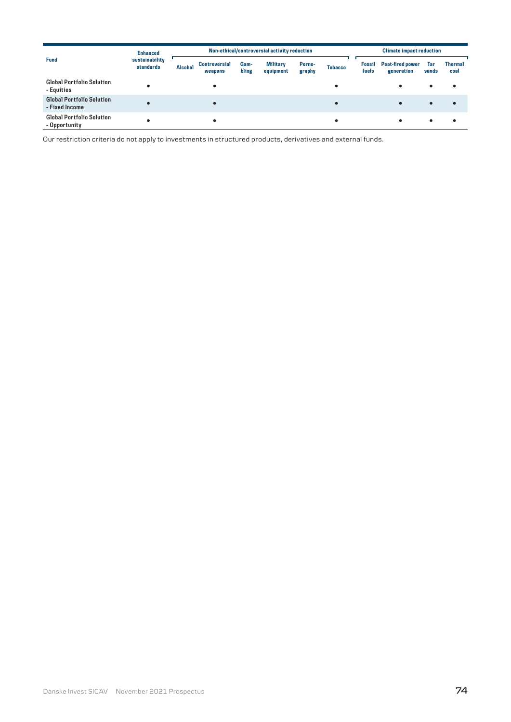|                                                    | <b>Enhanced</b>             | Non-ethical/controversial activity reduction |                                 |               |                              |                  |                | <b>Climate impact reduction</b> |                                       |              |                        |
|----------------------------------------------------|-----------------------------|----------------------------------------------|---------------------------------|---------------|------------------------------|------------------|----------------|---------------------------------|---------------------------------------|--------------|------------------------|
| <b>Fund</b>                                        | sustainability<br>standards | <b>Alcohol</b>                               | <b>Controversial</b><br>weapons | Gam-<br>bling | <b>Military</b><br>equipment | Porno-<br>graphy | <b>Tobacco</b> | <b>Fossil</b><br>fuels          | <b>Peat-fired power</b><br>generation | Tar<br>sands | <b>Thermal</b><br>coal |
| <b>Global Portfolio Solution</b><br>- Equities     |                             |                                              |                                 |               |                              |                  |                |                                 | ٠                                     | ٠            |                        |
| <b>Global Portfolio Solution</b><br>- Fixed Income |                             |                                              | ٠                               |               |                              |                  |                |                                 | $\bullet$                             | $\bullet$    | $\bullet$              |
| <b>Global Portfolio Solution</b><br>- Opportunity  |                             |                                              | ٠                               |               |                              |                  |                |                                 |                                       |              |                        |

Our restriction criteria do not apply to investments in structured products, derivatives and external funds.